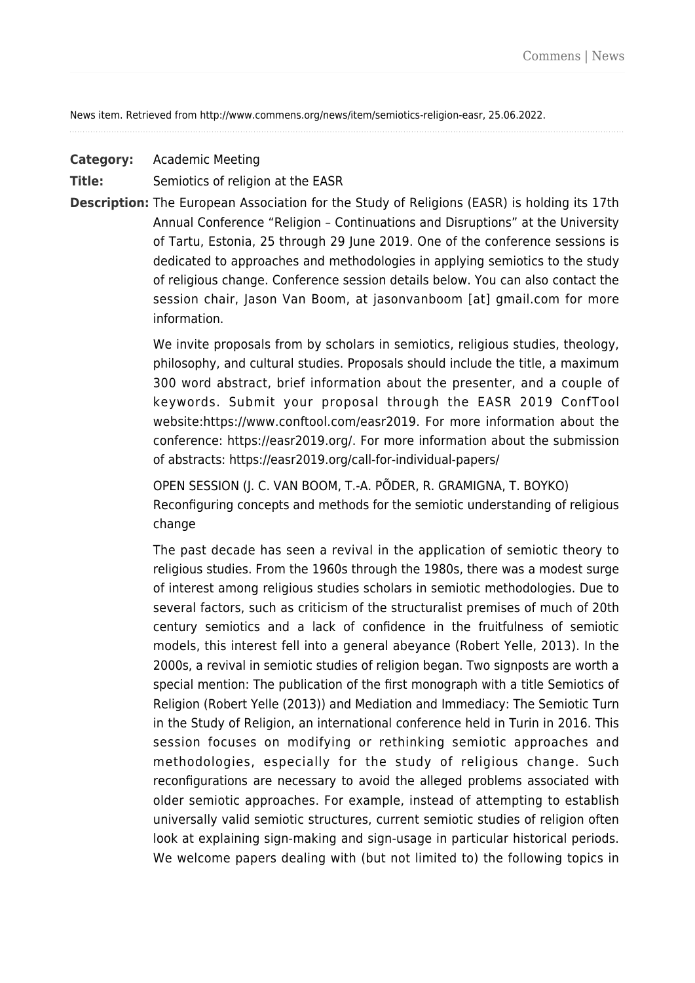News item. Retrieved from http://www.commens.org/news/item/semiotics-religion-easr, 25.06.2022.

**Category:** Academic Meeting

**Title:** Semiotics of religion at the EASR

**Description:** The European Association for the Study of Religions (EASR) is holding its 17th Annual Conference "Religion – Continuations and Disruptions" at the University of Tartu, Estonia, 25 through 29 June 2019. One of the conference sessions is dedicated to approaches and methodologies in applying semiotics to the study of religious change. Conference session details below. You can also contact the session chair, Jason Van Boom, at jasonvanboom [at] gmail.com for more information.

> We invite proposals from by scholars in semiotics, religious studies, theology, philosophy, and cultural studies. Proposals should include the title, a maximum 300 word abstract, brief information about the presenter, and a couple of keywords. Submit your proposal through the EASR 2019 ConfTool website[:https://www.conftool.com/easr2019.](https://www.conftool.com/easr2019) For more information about the conference: [https://easr2019.org/.](https://easr2019.org/) For more information about the submission of abstracts:<https://easr2019.org/call-for-individual-papers/>

> OPEN SESSION (J. C. VAN BOOM, T.-A. PÕDER, R. GRAMIGNA, T. BOYKO) Reconfiguring concepts and methods for the semiotic understanding of religious change

> The past decade has seen a revival in the application of semiotic theory to religious studies. From the 1960s through the 1980s, there was a modest surge of interest among religious studies scholars in semiotic methodologies. Due to several factors, such as criticism of the structuralist premises of much of 20th century semiotics and a lack of confidence in the fruitfulness of semiotic models, this interest fell into a general abeyance (Robert Yelle, 2013). In the 2000s, a revival in semiotic studies of religion began. Two signposts are worth a special mention: The publication of the first monograph with a title Semiotics of Religion (Robert Yelle (2013)) and Mediation and Immediacy: The Semiotic Turn in the Study of Religion, an international conference held in Turin in 2016. This session focuses on modifying or rethinking semiotic approaches and methodologies, especially for the study of religious change. Such reconfigurations are necessary to avoid the alleged problems associated with older semiotic approaches. For example, instead of attempting to establish universally valid semiotic structures, current semiotic studies of religion often look at explaining sign-making and sign-usage in particular historical periods. We welcome papers dealing with (but not limited to) the following topics in